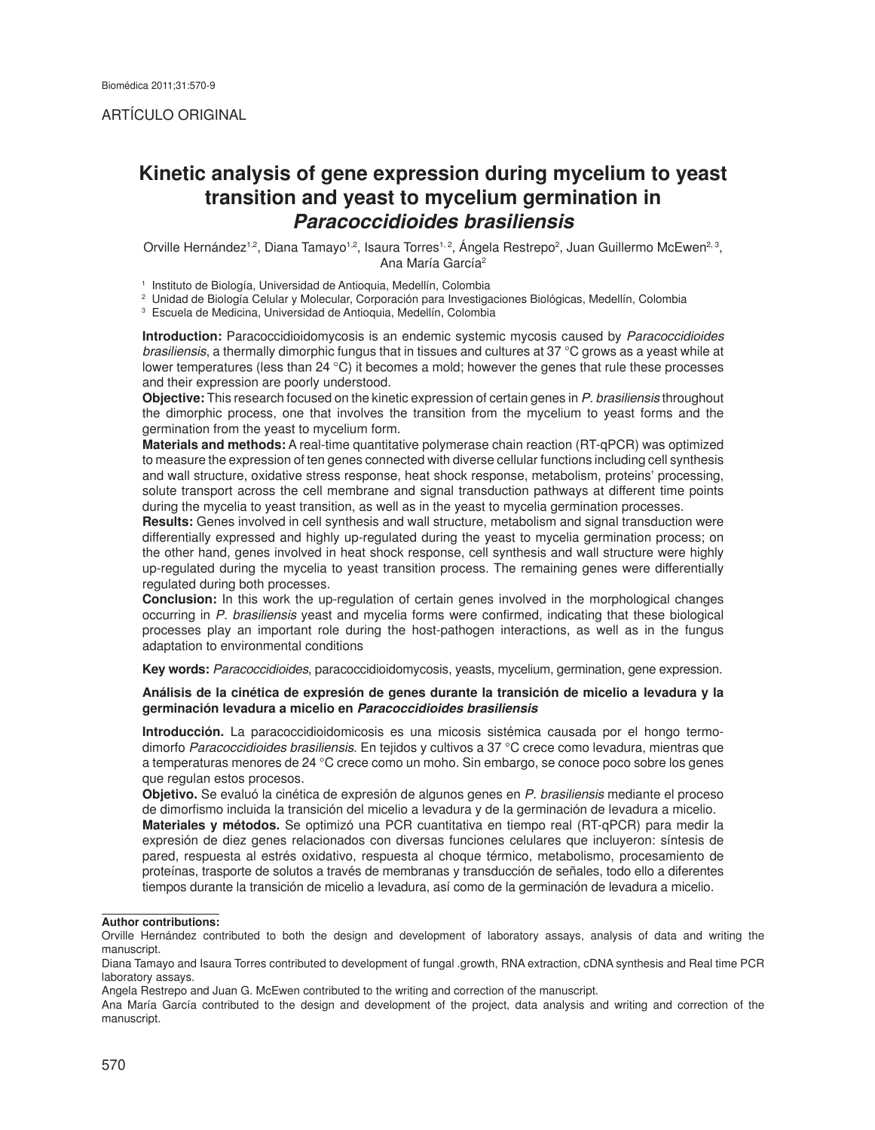# **Kinetic analysis of gene expression during mycelium to yeast transition and yeast to mycelium germination in**  *Paracoccidioides brasiliensis*

Orville Hernández<sup>1,2</sup>, Diana Tamayo<sup>1,2</sup>, Isaura Torres<sup>1,2</sup>, Angela Restrepo<sup>2</sup>, Juan Guillermo McEwen<sup>2, 3</sup>, Ana María García2

1 Instituto de Biología, Universidad de Antioquia, Medellín, Colombia

2 Unidad de Biología Celular y Molecular, Corporación para Investigaciones Biológicas, Medellín, Colombia

3 Escuela de Medicina, Universidad de Antioquia, Medellín, Colombia

**Introduction:** Paracoccidioidomycosis is an endemic systemic mycosis caused by *Paracoccidioides brasiliensis*, a thermally dimorphic fungus that in tissues and cultures at 37 °C grows as a yeast while at lower temperatures (less than 24 °C) it becomes a mold; however the genes that rule these processes and their expression are poorly understood.

**Objective:** This research focused on the kinetic expression of certain genes in *P. brasiliensis* throughout the dimorphic process, one that involves the transition from the mycelium to yeast forms and the germination from the yeast to mycelium form.

**Materials and methods:** A real-time quantitative polymerase chain reaction (RT-qPCR) was optimized to measure the expression of ten genes connected with diverse cellular functions including cell synthesis and wall structure, oxidative stress response, heat shock response, metabolism, proteins' processing, solute transport across the cell membrane and signal transduction pathways at different time points during the mycelia to yeast transition, as well as in the yeast to mycelia germination processes.

**Results:** Genes involved in cell synthesis and wall structure, metabolism and signal transduction were differentially expressed and highly up-regulated during the yeast to mycelia germination process; on the other hand, genes involved in heat shock response, cell synthesis and wall structure were highly up-regulated during the mycelia to yeast transition process. The remaining genes were differentially regulated during both processes.

**Conclusion:** In this work the up-regulation of certain genes involved in the morphological changes occurring in *P. brasiliensis* yeast and mycelia forms were confirmed, indicating that these biological processes play an important role during the host-pathogen interactions, as well as in the fungus adaptation to environmental conditions

**Key words:** *Paracoccidioides*, paracoccidioidomycosis, yeasts, mycelium, germination, gene expression.

#### **Análisis de la cinética de expresión de genes durante la transición de micelio a levadura y la germinación levadura a micelio en** *Paracoccidioides brasiliensis*

**Introducción.** La paracoccidioidomicosis es una micosis sistémica causada por el hongo termodimorfo *Paracoccidioides brasiliensis*. En tejidos y cultivos a 37 °C crece como levadura, mientras que a temperaturas menores de 24 °C crece como un moho. Sin embargo, se conoce poco sobre los genes que regulan estos procesos.

**Objetivo.** Se evaluó la cinética de expresión de algunos genes en *P. brasiliensis* mediante el proceso de dimorfismo incluida la transición del micelio a levadura y de la germinación de levadura a micelio. **Materiales y métodos.** Se optimizó una PCR cuantitativa en tiempo real (RT-qPCR) para medir la expresión de diez genes relacionados con diversas funciones celulares que incluyeron: síntesis de pared, respuesta al estrés oxidativo, respuesta al choque térmico, metabolismo, procesamiento de proteínas, trasporte de solutos a través de membranas y transducción de señales, todo ello a diferentes tiempos durante la transición de micelio a levadura, así como de la germinación de levadura a micelio.

#### **Author contributions:**

Orville Hernández contributed to both the design and development of laboratory assays, analysis of data and writing the manuscript.

Diana Tamayo and Isaura Torres contributed to development of fungal .growth, RNA extraction, cDNA synthesis and Real time PCR laboratory assays.

Angela Restrepo and Juan G. McEwen contributed to the writing and correction of the manuscript.

Ana María García contributed to the design and development of the project, data analysis and writing and correction of the manuscript.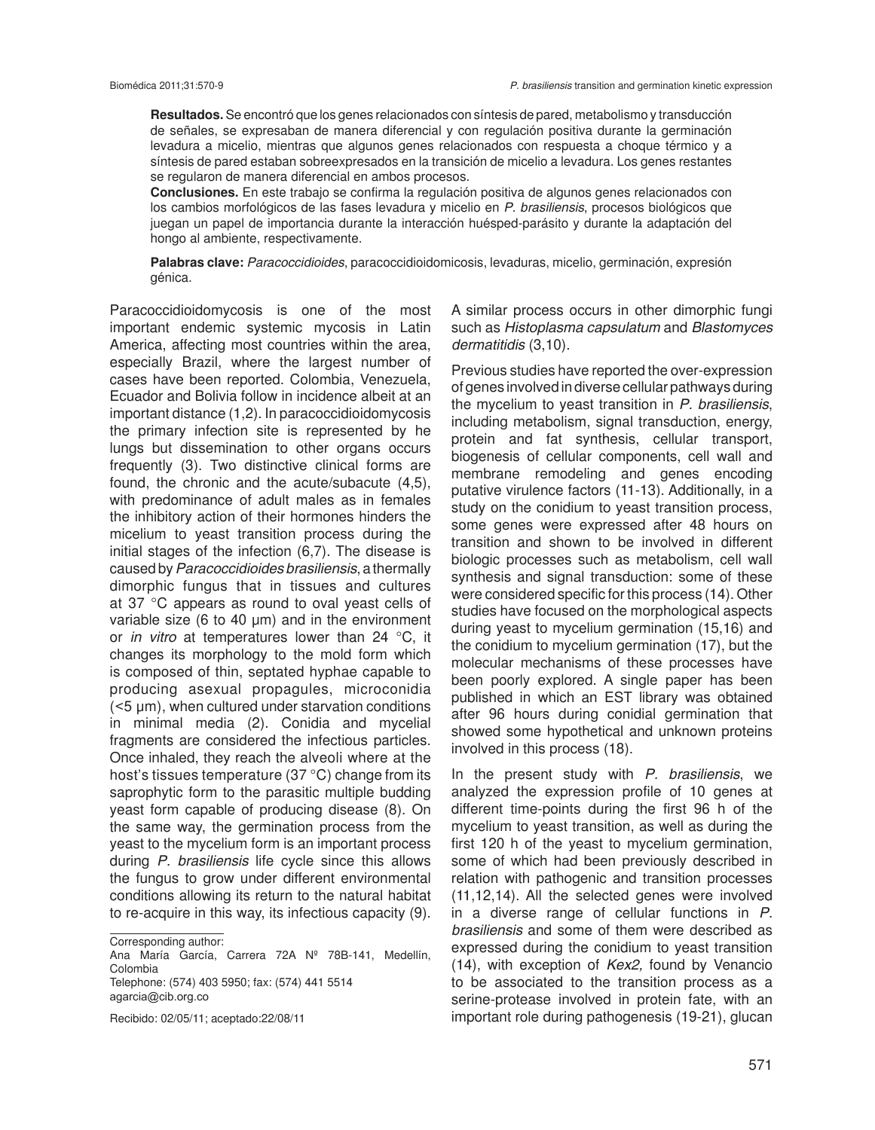**Resultados.** Se encontró que los genes relacionados con síntesis de pared, metabolismo y transducción de señales, se expresaban de manera diferencial y con regulación positiva durante la germinación levadura a micelio, mientras que algunos genes relacionados con respuesta a choque térmico y a síntesis de pared estaban sobreexpresados en la transición de micelio a levadura. Los genes restantes se regularon de manera diferencial en ambos procesos.

**Conclusiones.** En este trabajo se confirma la regulación positiva de algunos genes relacionados con los cambios morfológicos de las fases levadura y micelio en *P. brasiliensis*, procesos biológicos que juegan un papel de importancia durante la interacción huésped-parásito y durante la adaptación del hongo al ambiente, respectivamente.

**Palabras clave:** *Paracoccidioides*, paracoccidioidomicosis, levaduras, micelio, germinación, expresión génica.

Paracoccidioidomycosis is one of the most important endemic systemic mycosis in Latin America, affecting most countries within the area, especially Brazil, where the largest number of cases have been reported. Colombia, Venezuela, Ecuador and Bolivia follow in incidence albeit at an important distance (1,2). In paracoccidioidomycosis the primary infection site is represented by he lungs but dissemination to other organs occurs frequently (3). Two distinctive clinical forms are found, the chronic and the acute/subacute (4,5), with predominance of adult males as in females the inhibitory action of their hormones hinders the micelium to yeast transition process during the initial stages of the infection (6,7). The disease is caused by *Paracoccidioides brasiliensis*, a thermally dimorphic fungus that in tissues and cultures at 37 °C appears as round to oval yeast cells of variable size (6 to 40  $\mu$ m) and in the environment or *in vitro* at temperatures lower than 24 °C, it changes its morphology to the mold form which is composed of thin, septated hyphae capable to producing asexual propagules, microconidia (<5 µm), when cultured under starvation conditions in minimal media (2). Conidia and mycelial fragments are considered the infectious particles. Once inhaled, they reach the alveoli where at the host's tissues temperature (37 °C) change from its saprophytic form to the parasitic multiple budding yeast form capable of producing disease (8). On the same way, the germination process from the yeast to the mycelium form is an important process during *P. brasiliensis* life cycle since this allows the fungus to grow under different environmental conditions allowing its return to the natural habitat to re-acquire in this way, its infectious capacity (9).

agarcia@cib.org.co

Recibido: 02/05/11; aceptado:22/08/11

A similar process occurs in other dimorphic fungi such as *Histoplasma capsulatum* and *Blastomyces dermatitidis* (3,10).

Previous studies have reported the over-expression of genes involved in diverse cellular pathways during the mycelium to yeast transition in *P. brasiliensis*, including metabolism, signal transduction, energy, protein and fat synthesis, cellular transport, biogenesis of cellular components, cell wall and membrane remodeling and genes encoding putative virulence factors (11-13). Additionally, in a study on the conidium to yeast transition process, some genes were expressed after 48 hours on transition and shown to be involved in different biologic processes such as metabolism, cell wall synthesis and signal transduction: some of these were considered specific for this process (14). Other studies have focused on the morphological aspects during yeast to mycelium germination (15,16) and the conidium to mycelium germination (17), but the molecular mechanisms of these processes have been poorly explored. A single paper has been published in which an EST library was obtained after 96 hours during conidial germination that showed some hypothetical and unknown proteins involved in this process (18).

In the present study with *P. brasiliensis*, we analyzed the expression profile of 10 genes at different time-points during the first 96 h of the mycelium to yeast transition, as well as during the first 120 h of the yeast to mycelium germination, some of which had been previously described in relation with pathogenic and transition processes (11,12,14). All the selected genes were involved in a diverse range of cellular functions in *P. brasiliensis* and some of them were described as expressed during the conidium to yeast transition (14), with exception of *Kex2,* found by Venancio to be associated to the transition process as a serine-protease involved in protein fate, with an important role during pathogenesis (19-21), glucan

Corresponding author:

Ana María García, Carrera 72A Nº 78B-141, Medellín, Colombia Telephone: (574) 403 5950; fax: (574) 441 5514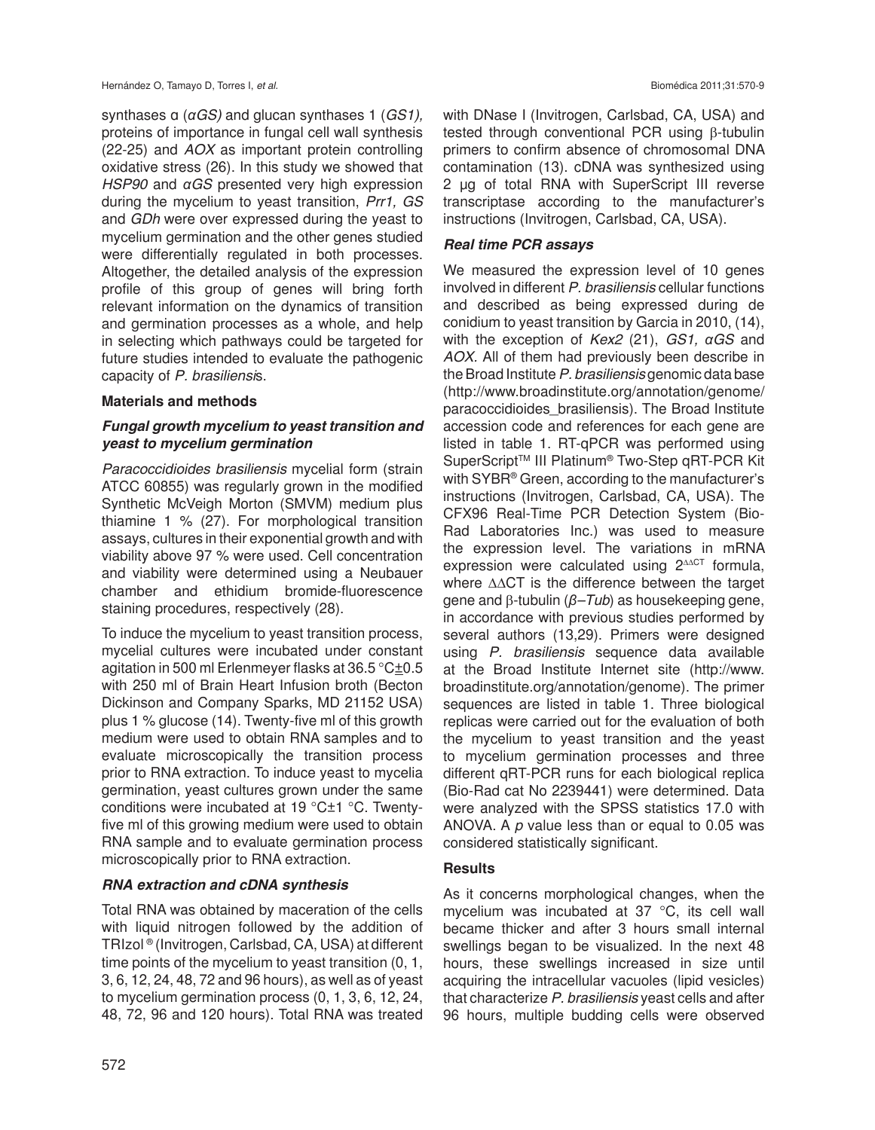synthases α (*αGS)* and glucan synthases 1 (*GS1),*  proteins of importance in fungal cell wall synthesis (22-25) and *AOX* as important protein controlling oxidative stress (26). In this study we showed that *HSP90* and *αGS* presented very high expression during the mycelium to yeast transition, *Prr1, GS*  and *GDh* were over expressed during the yeast to mycelium germination and the other genes studied were differentially regulated in both processes. Altogether, the detailed analysis of the expression profile of this group of genes will bring forth relevant information on the dynamics of transition and germination processes as a whole, and help in selecting which pathways could be targeted for future studies intended to evaluate the pathogenic capacity of *P. brasiliensi*s.

## **Materials and methods**

## *Fungal growth mycelium to yeast transition and yeast to mycelium germination*

*Paracoccidioides brasiliensis* mycelial form (strain ATCC 60855) was regularly grown in the modified Synthetic McVeigh Morton (SMVM) medium plus thiamine 1 % (27). For morphological transition assays, cultures in their exponential growth and with viability above 97 % were used. Cell concentration and viability were determined using a Neubauer chamber and ethidium bromide-fluorescence staining procedures, respectively (28).

To induce the mycelium to yeast transition process, mycelial cultures were incubated under constant agitation in 500 ml Erlenmeyer flasks at 36.5 °C±0.5 with 250 ml of Brain Heart Infusion broth (Becton Dickinson and Company Sparks, MD 21152 USA) plus 1 % glucose (14). Twenty-five ml of this growth medium were used to obtain RNA samples and to evaluate microscopically the transition process prior to RNA extraction. To induce yeast to mycelia germination, yeast cultures grown under the same conditions were incubated at 19 °C±1 °C. Twentyfive ml of this growing medium were used to obtain RNA sample and to evaluate germination process microscopically prior to RNA extraction.

# *RNA extraction and cDNA synthesis*

Total RNA was obtained by maceration of the cells with liquid nitrogen followed by the addition of TRIzol ® (Invitrogen, Carlsbad, CA, USA) at different time points of the mycelium to yeast transition (0, 1, 3, 6, 12, 24, 48, 72 and 96 hours), as well as of yeast to mycelium germination process (0, 1, 3, 6, 12, 24, 48, 72, 96 and 120 hours). Total RNA was treated with DNase I (Invitrogen, Carlsbad, CA, USA) and tested through conventional PCR using β-tubulin primers to confirm absence of chromosomal DNA contamination (13). cDNA was synthesized using 2 µg of total RNA with SuperScript III reverse transcriptase according to the manufacturer's instructions (Invitrogen, Carlsbad, CA, USA).

## *Real time PCR assays*

We measured the expression level of 10 genes involved in different *P. brasiliensis* cellular functions and described as being expressed during de conidium to yeast transition by Garcia in 2010, (14), with the exception of *Kex2* (21), *GS1, αGS* and *AOX.* All of them had previously been describe in the Broad Institute *P. brasiliensis* genomic data base (http://www.broadinstitute.org/annotation/genome/ paracoccidioides\_brasiliensis). The Broad Institute accession code and references for each gene are listed in table 1. RT-qPCR was performed using SuperScript™ III Platinum® Two-Step qRT-PCR Kit with SYBR<sup>®</sup> Green, according to the manufacturer's instructions (Invitrogen, Carlsbad, CA, USA). The CFX96 Real-Time PCR Detection System (Bio-Rad Laboratories Inc.) was used to measure the expression level. The variations in mRNA expression were calculated using 2<sup>ΔΔCT</sup> formula, where ΔΔCT is the difference between the target gene and β-tubulin (*β–Tub*) as housekeeping gene, in accordance with previous studies performed by several authors (13,29). Primers were designed using *P. brasiliensis* sequence data available at the Broad Institute Internet site (http://www. broadinstitute.org/annotation/genome). The primer sequences are listed in table 1. Three biological replicas were carried out for the evaluation of both the mycelium to yeast transition and the yeast to mycelium germination processes and three different qRT-PCR runs for each biological replica (Bio-Rad cat No 2239441) were determined. Data were analyzed with the SPSS statistics 17.0 with ANOVA. A *p* value less than or equal to 0.05 was considered statistically significant.

# **Results**

As it concerns morphological changes, when the mycelium was incubated at 37 °C, its cell wall became thicker and after 3 hours small internal swellings began to be visualized. In the next 48 hours, these swellings increased in size until acquiring the intracellular vacuoles (lipid vesicles) that characterize *P. brasiliensis* yeast cells and after 96 hours, multiple budding cells were observed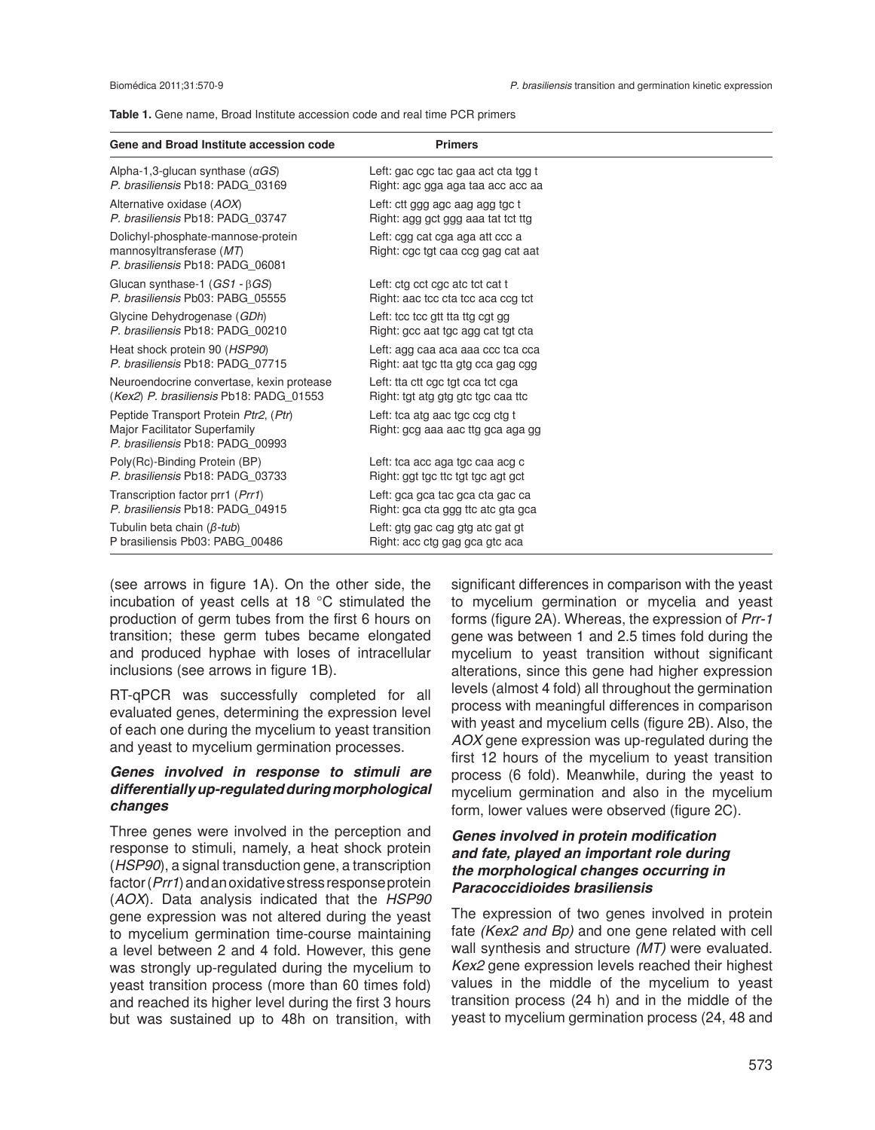|  |  |  |  |  |  |  |  |  | <b>Table 1.</b> Gene name, Broad Institute accession code and real time PCR primers |
|--|--|--|--|--|--|--|--|--|-------------------------------------------------------------------------------------|
|--|--|--|--|--|--|--|--|--|-------------------------------------------------------------------------------------|

| Gene and Broad Institute accession code                                                                    | <b>Primers</b>                                                        |
|------------------------------------------------------------------------------------------------------------|-----------------------------------------------------------------------|
| Alpha-1,3-glucan synthase $(\alpha GS)$                                                                    | Left: gac cgc tac gaa act cta tgg t                                   |
| P. brasiliensis Pb18: PADG 03169                                                                           | Right: agc gga aga taa acc acc aa                                     |
| Alternative oxidase (AOX)                                                                                  | Left: ctt ggg agc aag agg tgc t                                       |
| P. brasiliensis Pb18: PADG 03747                                                                           | Right: agg gct ggg aaa tat tot ttg                                    |
| Dolichyl-phosphate-mannose-protein<br>mannosyltransferase (MT)<br>P. brasiliensis Pb18: PADG 06081         | Left: cgg cat cga aga att ccc a<br>Right: cgc tgt caa ccg gag cat aat |
| Glucan synthase-1 $(GS1 - \beta GS)$                                                                       | Left: ctg cct cgc atc tct cat t                                       |
| P. brasiliensis Pb03: PABG 05555                                                                           | Right: aac tcc cta tcc aca ccq tct                                    |
| Glycine Dehydrogenase (GDh)                                                                                | Left: tcc tcc gtt tta ttg cgt gg                                      |
| P. brasiliensis Pb18: PADG 00210                                                                           | Right: gcc aat tgc agg cat tgt cta                                    |
| Heat shock protein 90 (HSP90)                                                                              | Left: agg caa aca aaa ccc tca cca                                     |
| P. brasiliensis Pb18: PADG 07715                                                                           | Right: aat tgc tta gtg cca gag cgg                                    |
| Neuroendocrine convertase, kexin protease                                                                  | Left: tta ctt cgc tgt cca tct cga                                     |
| (Kex2) P. brasiliensis Pb18: PADG 01553                                                                    | Right: tgt atg gtg gtc tgc caa ttc                                    |
| Peptide Transport Protein Ptr2, (Ptr)<br>Major Facilitator Superfamily<br>P. brasiliensis Pb18: PADG 00993 | Left: tca atg aac tgc ccg ctg t<br>Right: gcg aaa aac ttg gca aga gg  |
| Poly(Rc)-Binding Protein (BP)                                                                              | Left: tca acc aga tgc caa acg c                                       |
| P. brasiliensis Pb18: PADG 03733                                                                           | Right: ggt tgc ttc tgt tgc agt gct                                    |
| Transcription factor prr1 (Prr1)                                                                           | Left: gca gca tac gca cta gac ca                                      |
| P. brasiliensis Pb18: PADG 04915                                                                           | Right: gca cta ggg ttc atc gta gca                                    |
| Tubulin beta chain (B-tub)                                                                                 | Left: gtg gac cag gtg atc gat gt                                      |
| P brasiliensis Pb03: PABG 00486                                                                            | Right: acc ctg gag gca gtc aca                                        |

(see arrows in figure 1A). On the other side, the incubation of yeast cells at 18 °C stimulated the production of germ tubes from the first 6 hours on transition; these germ tubes became elongated and produced hyphae with loses of intracellular inclusions (see arrows in figure 1B).

RT-qPCR was successfully completed for all evaluated genes, determining the expression level of each one during the mycelium to yeast transition and yeast to mycelium germination processes.

#### *Genes involved in response to stimuli are differentially up-regulated during morphological changes*

Three genes were involved in the perception and response to stimuli, namely, a heat shock protein (*HSP90*), a signal transduction gene, a transcription factor (*Prr1*) and an oxidative stress response protein (*AOX*). Data analysis indicated that the *HSP90* gene expression was not altered during the yeast to mycelium germination time-course maintaining a level between 2 and 4 fold. However, this gene was strongly up-regulated during the mycelium to yeast transition process (more than 60 times fold) and reached its higher level during the first 3 hours but was sustained up to 48h on transition, with

significant differences in comparison with the yeast to mycelium germination or mycelia and yeast forms (figure 2A). Whereas, the expression of *Prr-1* gene was between 1 and 2.5 times fold during the mycelium to yeast transition without significant alterations, since this gene had higher expression levels (almost 4 fold) all throughout the germination process with meaningful differences in comparison with yeast and mycelium cells (figure 2B). Also, the *AOX* gene expression was up-regulated during the first 12 hours of the mycelium to yeast transition process (6 fold). Meanwhile, during the yeast to mycelium germination and also in the mycelium form, lower values were observed (figure 2C).

#### *Genes involved in protein modification and fate, played an important role during the morphological changes occurring in Paracoccidioides brasiliensis*

The expression of two genes involved in protein fate *(Kex2 and Bp)* and one gene related with cell wall synthesis and structure *(MT)* were evaluated. *Kex2* gene expression levels reached their highest values in the middle of the mycelium to yeast transition process (24 h) and in the middle of the yeast to mycelium germination process (24, 48 and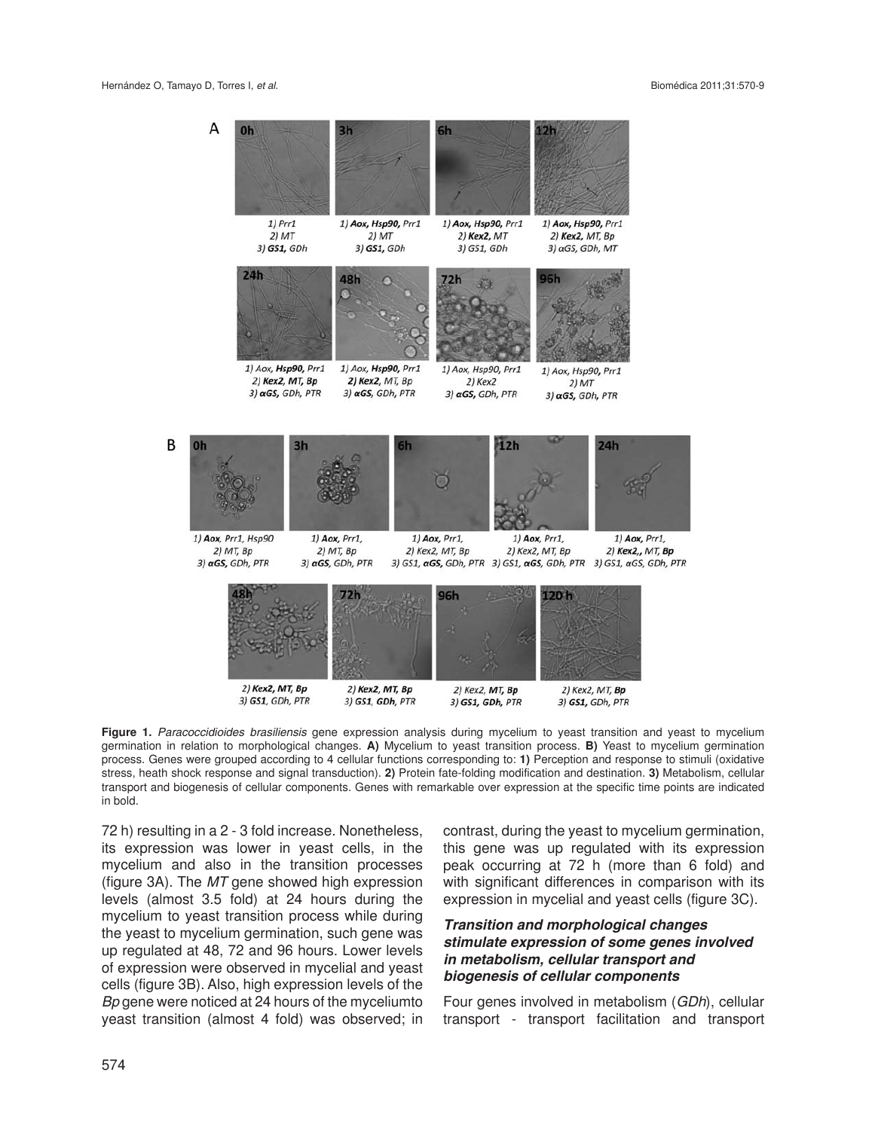

**Figure 1.** *Paracoccidioides brasiliensis* gene expression analysis during mycelium to yeast transition and yeast to mycelium germination in relation to morphological changes. **A)** Mycelium to yeast transition process. **B)** Yeast to mycelium germination process. Genes were grouped according to 4 cellular functions corresponding to: **1)** Perception and response to stimuli (oxidative stress, heath shock response and signal transduction). **2)** Protein fate-folding modification and destination. **3)** Metabolism, cellular transport and biogenesis of cellular components. Genes with remarkable over expression at the specific time points are indicated in bold.

72 h) resulting in a 2 - 3 fold increase. Nonetheless, its expression was lower in yeast cells, in the mycelium and also in the transition processes (figure 3A). The *MT* gene showed high expression levels (almost 3.5 fold) at 24 hours during the mycelium to yeast transition process while during the yeast to mycelium germination, such gene was up regulated at 48, 72 and 96 hours. Lower levels of expression were observed in mycelial and yeast cells (figure 3B). Also, high expression levels of the *Bp* gene were noticed at 24 hours of the myceliumto yeast transition (almost 4 fold) was observed; in

contrast, during the yeast to mycelium germination, this gene was up regulated with its expression peak occurring at 72 h (more than 6 fold) and with significant differences in comparison with its expression in mycelial and yeast cells (figure 3C).

#### *Transition and morphological changes stimulate expression of some genes involved in metabolism, cellular transport and biogenesis of cellular components*

Four genes involved in metabolism (*GDh*), cellular transport - transport facilitation and transport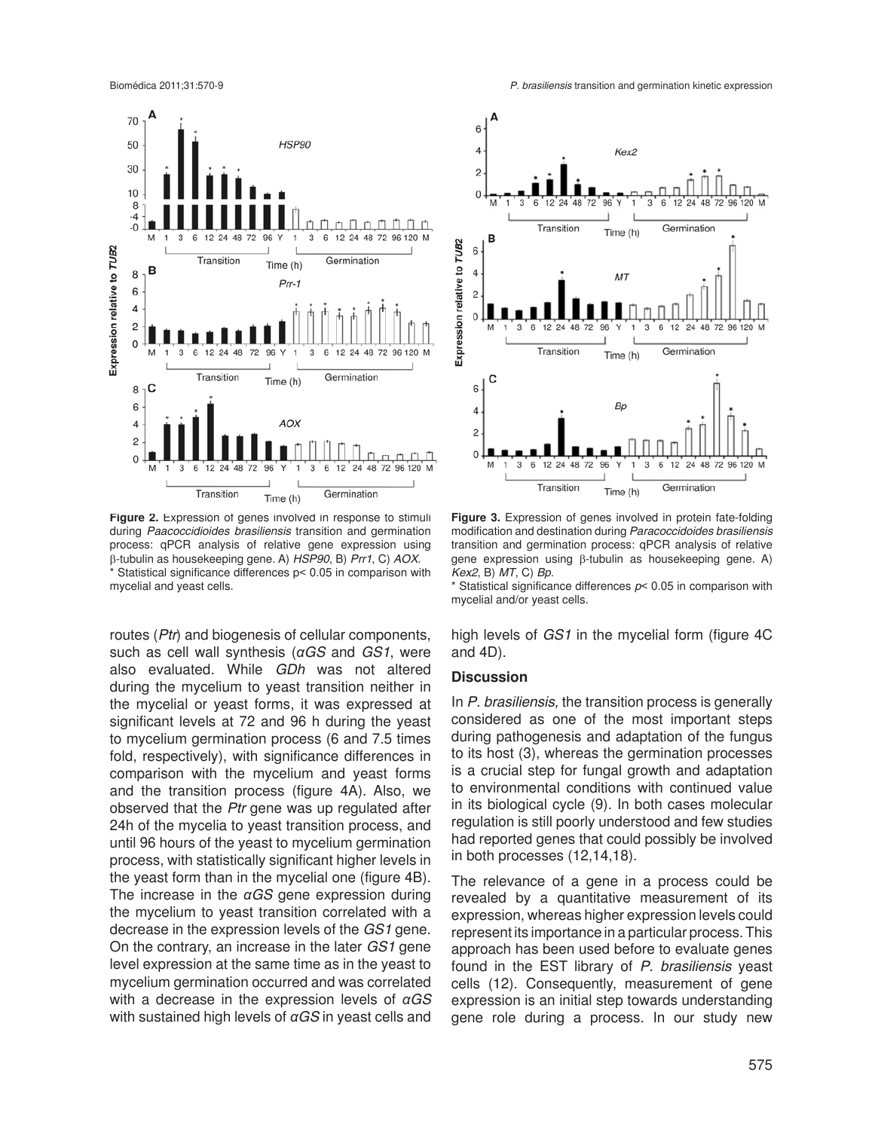

Figure 2. Expression of genes involved in response to stimuli during *Paacoccidioides brasiliensis* transition and germination process: qPCR analysis of relative gene expression using β-tubulin as housekeeping gene. A) *HSP90*, B) *Prr1*, C) *AOX*. \* Statistical significance differences p< 0.05 in comparison with mycelial and yeast cells.

routes (*Ptr*) and biogenesis of cellular components, such as cell wall synthesis (*αGS* and *GS1*, were also evaluated. While *GDh* was not altered during the mycelium to yeast transition neither in the mycelial or yeast forms, it was expressed at significant levels at 72 and 96 h during the yeast to mycelium germination process (6 and 7.5 times fold, respectively), with significance differences in comparison with the mycelium and yeast forms and the transition process (figure 4A). Also, we observed that the *Ptr* gene was up regulated after 24h of the mycelia to yeast transition process, and until 96 hours of the yeast to mycelium germination process, with statistically significant higher levels in the yeast form than in the mycelial one (figure 4B). The increase in the *αGS* gene expression during the mycelium to yeast transition correlated with a decrease in the expression levels of the *GS1* gene. On the contrary, an increase in the later *GS1* gene level expression at the same time as in the yeast to mycelium germination occurred and was correlated with a decrease in the expression levels of *αGS* with sustained high levels of *αGS* in yeast cells and



**Figure 3.** Expression of genes involved in protein fate-folding modification and destination during *Paracoccidoides brasiliensis*  transition and germination process: qPCR analysis of relative gene expression using β-tubulin as housekeeping gene. A) *Kex2*, B) *MT*, C) *Bp*.

\* Statistical significance differences *p*< 0.05 in comparison with mycelial and/or yeast cells.

high levels of *GS1* in the mycelial form (figure 4C and 4D).

#### **Discussion**

In *P. brasiliensis,* the transition process is generally considered as one of the most important steps during pathogenesis and adaptation of the fungus to its host (3), whereas the germination processes is a crucial step for fungal growth and adaptation to environmental conditions with continued value in its biological cycle (9). In both cases molecular regulation is still poorly understood and few studies had reported genes that could possibly be involved in both processes (12,14,18).

The relevance of a gene in a process could be revealed by a quantitative measurement of its expression, whereas higher expression levels could represent its importance in a particular process. This approach has been used before to evaluate genes found in the EST library of *P. brasiliensis* yeast cells (12). Consequently, measurement of gene expression is an initial step towards understanding gene role during a process. In our study new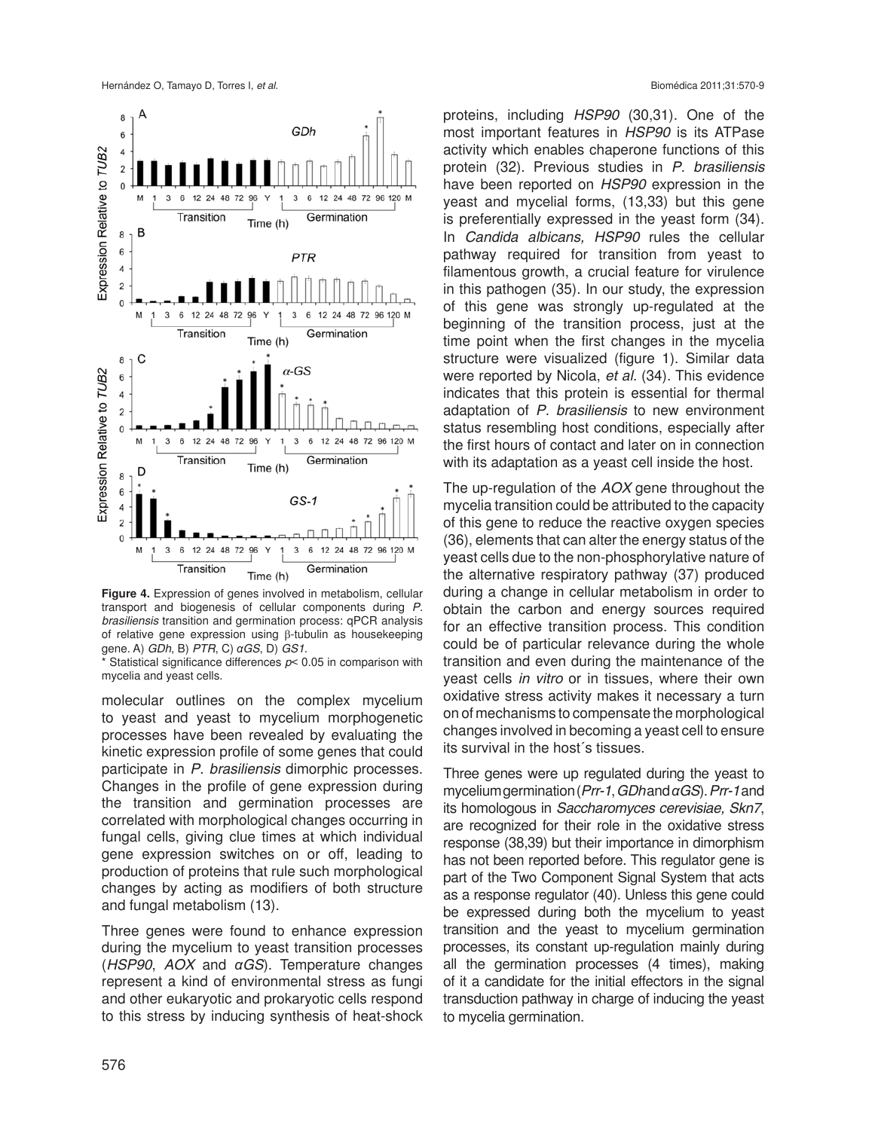

**Figure 4.** Expression of genes involved in metabolism, cellular transport and biogenesis of cellular components during *P. brasiliensis* transition and germination process: qPCR analysis of relative gene expression using β-tubulin as housekeeping gene. A) *GDh*, B) *PTR*, C) *αGS*, D) *GS1*.

Statistical significance differences  $p$  < 0.05 in comparison with mycelia and yeast cells.

molecular outlines on the complex mycelium to yeast and yeast to mycelium morphogenetic processes have been revealed by evaluating the kinetic expression profile of some genes that could participate in *P. brasiliensis* dimorphic processes. Changes in the profile of gene expression during the transition and germination processes are correlated with morphological changes occurring in fungal cells, giving clue times at which individual gene expression switches on or off, leading to production of proteins that rule such morphological changes by acting as modifiers of both structure and fungal metabolism (13).

Three genes were found to enhance expression during the mycelium to yeast transition processes (*HSP90*, *AOX* and *αGS*). Temperature changes represent a kind of environmental stress as fungi and other eukaryotic and prokaryotic cells respond to this stress by inducing synthesis of heat-shock

proteins, including *HSP90* (30,31). One of the most important features in *HSP90* is its ATPase activity which enables chaperone functions of this protein (32). Previous studies in *P. brasiliensis* have been reported on *HSP90* expression in the yeast and mycelial forms, (13,33) but this gene is preferentially expressed in the yeast form (34). In *Candida albicans, HSP90* rules the cellular pathway required for transition from yeast to filamentous growth, a crucial feature for virulence in this pathogen (35). In our study, the expression of this gene was strongly up-regulated at the beginning of the transition process, just at the time point when the first changes in the mycelia structure were visualized (figure 1). Similar data were reported by Nicola, *et al.* (34). This evidence indicates that this protein is essential for thermal adaptation of *P. brasiliensis* to new environment status resembling host conditions, especially after the first hours of contact and later on in connection with its adaptation as a yeast cell inside the host.

The up-regulation of the *AOX* gene throughout the mycelia transition could be attributed to the capacity of this gene to reduce the reactive oxygen species (36), elements that can alter the energy status of the yeast cells due to the non-phosphorylative nature of the alternative respiratory pathway (37) produced during a change in cellular metabolism in order to obtain the carbon and energy sources required for an effective transition process. This condition could be of particular relevance during the whole transition and even during the maintenance of the yeast cells *in vitro* or in tissues, where their own oxidative stress activity makes it necessary a turn on of mechanisms to compensate the morphological changes involved in becoming a yeast cell to ensure its survival in the host´s tissues.

Three genes were up regulated during the yeast to mycelium germination (*Prr-1*, *GDh* and *αGS*). *Prr-1* and its homologous in *Saccharomyces cerevisiae, Skn7*, are recognized for their role in the oxidative stress response (38,39) but their importance in dimorphism has not been reported before. This regulator gene is part of the Two Component Signal System that acts as a response regulator (40). Unless this gene could be expressed during both the mycelium to yeast transition and the yeast to mycelium germination processes, its constant up-regulation mainly during all the germination processes (4 times), making of it a candidate for the initial effectors in the signal transduction pathway in charge of inducing the yeast to mycelia germination.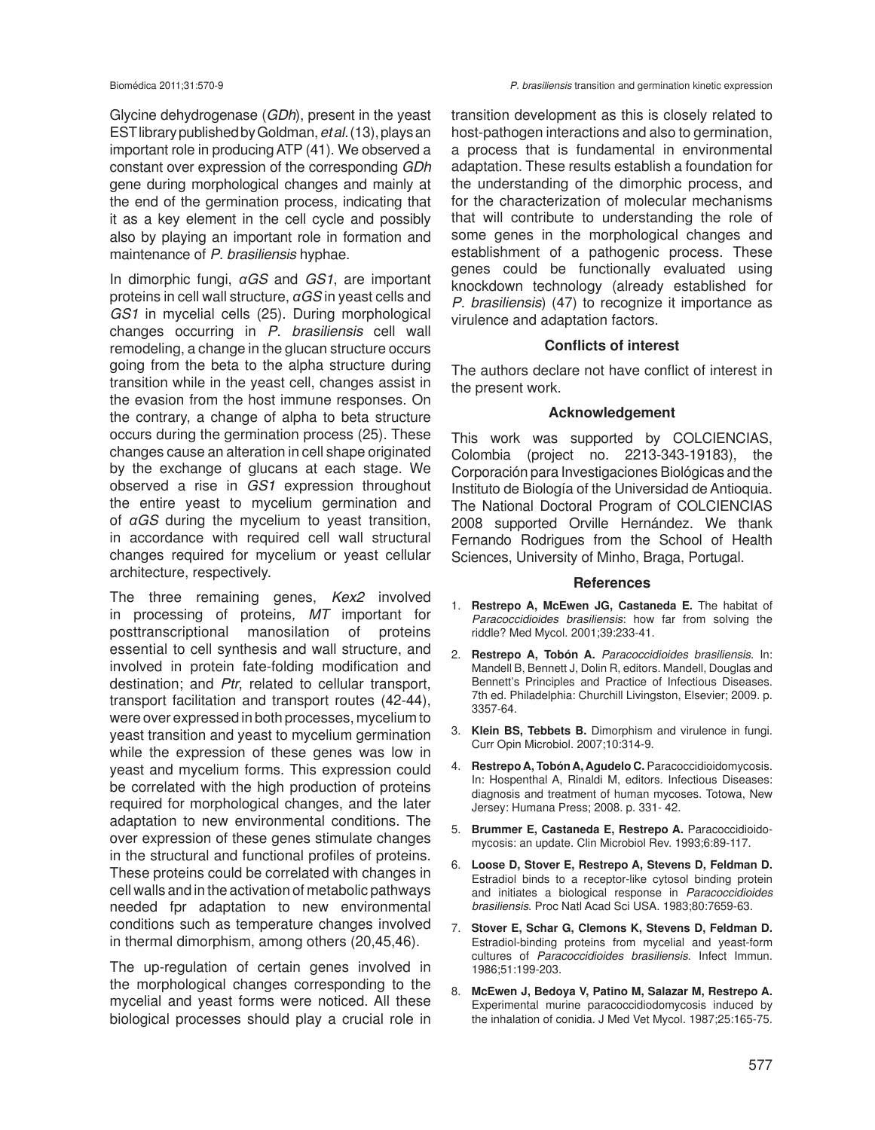Glycine dehydrogenase (*GDh*), present in the yeast EST library published by Goldman, *et al.* (13), plays an important role in producing ATP (41). We observed a constant over expression of the corresponding *GDh* gene during morphological changes and mainly at the end of the germination process, indicating that it as a key element in the cell cycle and possibly also by playing an important role in formation and maintenance of *P. brasiliensis* hyphae.

In dimorphic fungi, *αGS* and *GS1*, are important proteins in cell wall structure, *αGS* in yeast cells and *GS1* in mycelial cells (25). During morphological changes occurring in *P. brasiliensis* cell wall remodeling, a change in the glucan structure occurs going from the beta to the alpha structure during transition while in the yeast cell, changes assist in the evasion from the host immune responses. On the contrary, a change of alpha to beta structure occurs during the germination process (25). These changes cause an alteration in cell shape originated by the exchange of glucans at each stage. We observed a rise in *GS1* expression throughout the entire yeast to mycelium germination and of *αGS* during the mycelium to yeast transition, in accordance with required cell wall structural changes required for mycelium or yeast cellular architecture, respectively.

The three remaining genes, *Kex2* involved in processing of proteins*, MT* important for posttranscriptional manosilation of proteins essential to cell synthesis and wall structure, and involved in protein fate-folding modification and destination; and *Ptr*, related to cellular transport, transport facilitation and transport routes (42-44), were over expressed in both processes, mycelium to yeast transition and yeast to mycelium germination while the expression of these genes was low in yeast and mycelium forms. This expression could be correlated with the high production of proteins required for morphological changes, and the later adaptation to new environmental conditions. The over expression of these genes stimulate changes in the structural and functional profiles of proteins. These proteins could be correlated with changes in cell walls and in the activation of metabolic pathways needed fpr adaptation to new environmental conditions such as temperature changes involved in thermal dimorphism, among others (20,45,46).

The up-regulation of certain genes involved in the morphological changes corresponding to the mycelial and yeast forms were noticed. All these biological processes should play a crucial role in

transition development as this is closely related to host-pathogen interactions and also to germination, a process that is fundamental in environmental adaptation. These results establish a foundation for the understanding of the dimorphic process, and for the characterization of molecular mechanisms that will contribute to understanding the role of some genes in the morphological changes and establishment of a pathogenic process. These genes could be functionally evaluated using knockdown technology (already established for *P. brasiliensis*) (47) to recognize it importance as virulence and adaptation factors.

#### **Conflicts of interest**

The authors declare not have conflict of interest in the present work.

#### **Acknowledgement**

This work was supported by COLCIENCIAS, Colombia (project no. 2213-343-19183), the Corporación para Investigaciones Biológicas and the Instituto de Biología of the Universidad de Antioquia. The National Doctoral Program of COLCIENCIAS 2008 supported Orville Hernández. We thank Fernando Rodrigues from the School of Health Sciences, University of Minho, Braga, Portugal.

#### **References**

- 1. **Restrepo A, McEwen JG, Castaneda E.** The habitat of *Paracoccidioides brasiliensis*: how far from solving the riddle? Med Mycol. 2001;39:233-41.
- 2. **Restrepo A, Tobón A.** *Paracoccidioides brasiliensis*. In: Mandell B, Bennett J, Dolin R, editors. Mandell, Douglas and Bennett's Principles and Practice of Infectious Diseases. 7th ed. Philadelphia: Churchill Livingston, Elsevier; 2009. p. 3357-64.
- 3. **Klein BS, Tebbets B.** Dimorphism and virulence in fungi. Curr Opin Microbiol. 2007;10:314-9.
- 4. **Restrepo A, Tobón A, Agudelo C.** Paracoccidioidomycosis. In: Hospenthal A, Rinaldi M, editors. Infectious Diseases: diagnosis and treatment of human mycoses. Totowa, New Jersey: Humana Press; 2008. p. 331- 42.
- 5. **Brummer E, Castaneda E, Restrepo A.** Paracoccidioidomycosis: an update. Clin Microbiol Rev. 1993;6:89-117.
- 6. **Loose D, Stover E, Restrepo A, Stevens D, Feldman D.** Estradiol binds to a receptor-like cytosol binding protein and initiates a biological response in *Paracoccidioides brasiliensis*. Proc Natl Acad Sci USA. 1983;80:7659-63.
- 7. **Stover E, Schar G, Clemons K, Stevens D, Feldman D.** Estradiol-binding proteins from mycelial and yeast-form cultures of *Paracoccidioides brasiliensis*. Infect Immun. 1986;51:199-203.
- 8. **McEwen J, Bedoya V, Patino M, Salazar M, Restrepo A.** Experimental murine paracoccidiodomycosis induced by the inhalation of conidia. J Med Vet Mycol. 1987;25:165-75.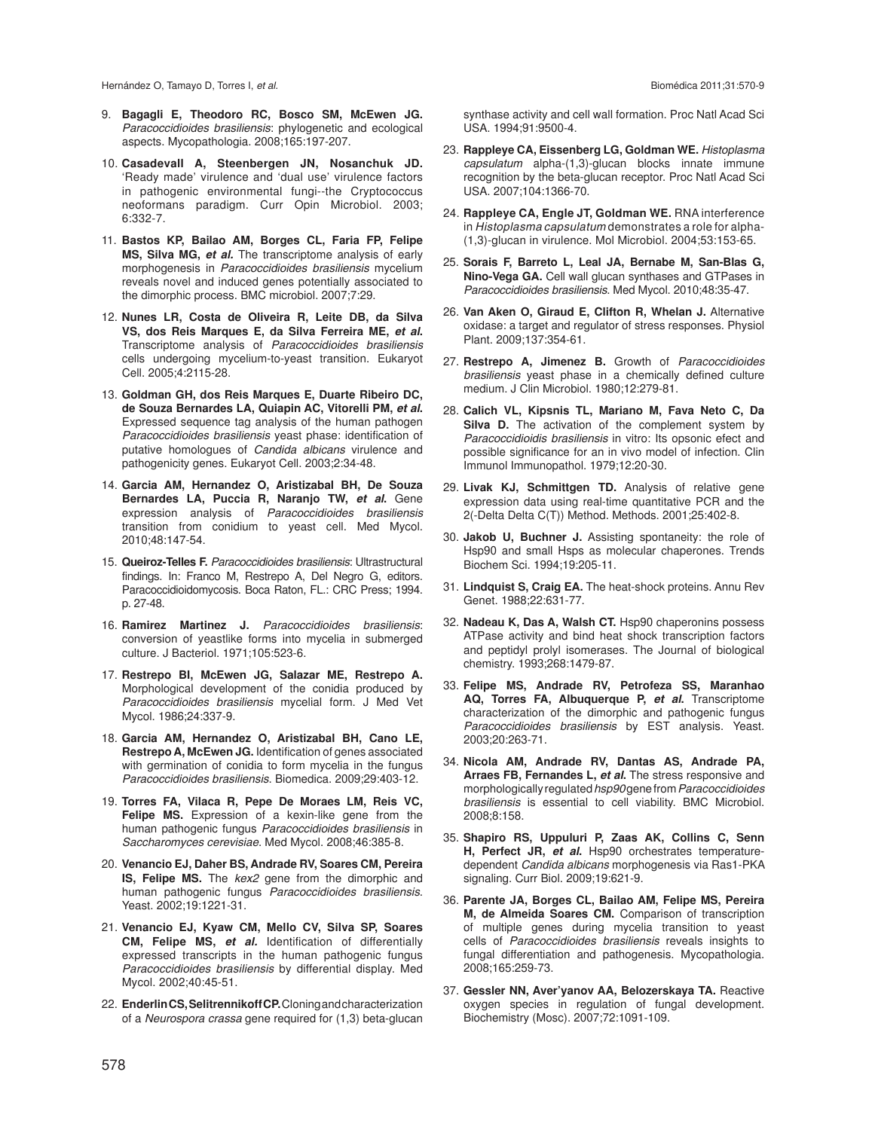Hernández O, Tamayo D, Torres I, *et al.*

- 9. **Bagagli E, Theodoro RC, Bosco SM, McEwen JG.** *Paracoccidioides brasiliensis*: phylogenetic and ecological aspects. Mycopathologia. 2008;165:197-207.
- 10. **Casadevall A, Steenbergen JN, Nosanchuk JD.** 'Ready made' virulence and 'dual use' virulence factors in pathogenic environmental fungi--the Cryptococcus neoformans paradigm. Curr Opin Microbiol. 2003; 6:332-7.
- 11. **Bastos KP, Bailao AM, Borges CL, Faria FP, Felipe MS, Silva MG,** *et al.* The transcriptome analysis of early morphogenesis in *Paracoccidioides brasiliensis* mycelium reveals novel and induced genes potentially associated to the dimorphic process. BMC microbiol. 2007;7:29.
- 12. **Nunes LR, Costa de Oliveira R, Leite DB, da Silva VS, dos Reis Marques E, da Silva Ferreira ME,** *et al***.** Transcriptome analysis of *Paracoccidioides brasiliensis* cells undergoing mycelium-to-yeast transition. Eukaryot Cell. 2005;4:2115-28.
- 13. **Goldman GH, dos Reis Marques E, Duarte Ribeiro DC, de Souza Bernardes LA, Quiapin AC, Vitorelli PM,** *et al***.** Expressed sequence tag analysis of the human pathogen *Paracoccidioides brasiliensis* yeast phase: identification of putative homologues of *Candida albicans* virulence and pathogenicity genes. Eukaryot Cell. 2003;2:34-48.
- 14. **Garcia AM, Hernandez O, Aristizabal BH, De Souza Bernardes LA, Puccia R, Naranjo TW,** *et al***.** Gene expression analysis of *Paracoccidioides brasiliensis* transition from conidium to yeast cell. Med Mycol. 2010;48:147-54.
- 15. **Queiroz-Telles F.** *Paracoccidioides brasiliensis*: Ultrastructural findings. In: Franco M, Restrepo A, Del Negro G, editors. Paracoccidioidomycosis. Boca Raton, FL.: CRC Press; 1994. p. 27-48.
- 16. **Ramirez Martinez J.** *Paracoccidioides brasiliensis*: conversion of yeastlike forms into mycelia in submerged culture. J Bacteriol. 1971;105:523-6.
- 17. **Restrepo BI, McEwen JG, Salazar ME, Restrepo A.** Morphological development of the conidia produced by *Paracoccidioides brasiliensis* mycelial form. J Med Vet Mycol. 1986;24:337-9.
- 18. **Garcia AM, Hernandez O, Aristizabal BH, Cano LE, Restrepo A, McEwen JG.** Identification of genes associated with germination of conidia to form mycelia in the fungus *Paracoccidioides brasiliensis*. Biomedica. 2009;29:403-12.
- 19. **Torres FA, Vilaca R, Pepe De Moraes LM, Reis VC, Felipe MS.** Expression of a kexin-like gene from the human pathogenic fungus *Paracoccidioides brasiliensis* in *Saccharomyces cerevisiae*. Med Mycol. 2008;46:385-8.
- 20. **Venancio EJ, Daher BS, Andrade RV, Soares CM, Pereira IS, Felipe MS.** The *kex2* gene from the dimorphic and human pathogenic fungus *Paracoccidioides brasiliensis*. Yeast. 2002;19:1221-31.
- 21. **Venancio EJ, Kyaw CM, Mello CV, Silva SP, Soares CM, Felipe MS,** *et al.* Identification of differentially expressed transcripts in the human pathogenic fungus *Paracoccidioides brasiliensis* by differential display. Med Mycol. 2002;40:45-51.
- 22. **Enderlin CS, Selitrennikoff CP.** Cloning and characterization of a *Neurospora crassa* gene required for (1,3) beta-glucan

synthase activity and cell wall formation. Proc Natl Acad Sci USA. 1994;91:9500-4.

- 23. **Rappleye CA, Eissenberg LG, Goldman WE.** *Histoplasma capsulatum* alpha-(1,3)-glucan blocks innate immune recognition by the beta-glucan receptor. Proc Natl Acad Sci USA. 2007;104:1366-70.
- 24. **Rappleye CA, Engle JT, Goldman WE.** RNA interference in *Histoplasma capsulatum* demonstrates a role for alpha- (1,3)-glucan in virulence. Mol Microbiol. 2004;53:153-65.
- 25. **Sorais F, Barreto L, Leal JA, Bernabe M, San-Blas G, Nino-Vega GA.** Cell wall glucan synthases and GTPases in *Paracoccidioides brasiliensis*. Med Mycol. 2010;48:35-47.
- 26. **Van Aken O, Giraud E, Clifton R, Whelan J.** Alternative oxidase: a target and regulator of stress responses. Physiol Plant. 2009;137:354-61.
- 27. **Restrepo A, Jimenez B.** Growth of *Paracoccidioides brasiliensis* yeast phase in a chemically defined culture medium. J Clin Microbiol. 1980;12:279-81.
- 28. **Calich VL, Kipsnis TL, Mariano M, Fava Neto C, Da Silva D.** The activation of the complement system by *Paracoccidioidis brasiliensis* in vitro: Its opsonic efect and possible significance for an in vivo model of infection. Clin Immunol Immunopathol. 1979;12:20-30.
- 29. **Livak KJ, Schmittgen TD.** Analysis of relative gene expression data using real-time quantitative PCR and the 2(-Delta Delta C(T)) Method. Methods. 2001;25:402-8.
- 30. **Jakob U, Buchner J.** Assisting spontaneity: the role of Hsp90 and small Hsps as molecular chaperones. Trends Biochem Sci. 1994;19:205-11.
- 31. **Lindquist S, Craig EA.** The heat-shock proteins. Annu Rev Genet. 1988;22:631-77.
- 32. **Nadeau K, Das A, Walsh CT.** Hsp90 chaperonins possess ATPase activity and bind heat shock transcription factors and peptidyl prolyl isomerases. The Journal of biological chemistry. 1993;268:1479-87.
- 33. **Felipe MS, Andrade RV, Petrofeza SS, Maranhao AQ, Torres FA, Albuquerque P,** *et al***.** Transcriptome characterization of the dimorphic and pathogenic fungus *Paracoccidioides brasiliensis* by EST analysis. Yeast. 2003;20:263-71.
- 34. **Nicola AM, Andrade RV, Dantas AS, Andrade PA, Arraes FB, Fernandes L,** *et al***.** The stress responsive and morphologically regulated *hsp90* gene from *Paracoccidioides brasiliensis* is essential to cell viability. BMC Microbiol. 2008;8:158.
- 35. **Shapiro RS, Uppuluri P, Zaas AK, Collins C, Senn H, Perfect JR,** *et al***.** Hsp90 orchestrates temperaturedependent *Candida albicans* morphogenesis via Ras1-PKA signaling. Curr Biol. 2009;19:621-9.
- 36. **Parente JA, Borges CL, Bailao AM, Felipe MS, Pereira M, de Almeida Soares CM.** Comparison of transcription of multiple genes during mycelia transition to yeast cells of *Paracoccidioides brasiliensis* reveals insights to fungal differentiation and pathogenesis. Mycopathologia. 2008;165:259-73.
- 37. **Gessler NN, Aver'yanov AA, Belozerskaya TA.** Reactive oxygen species in regulation of fungal development. Biochemistry (Mosc). 2007;72:1091-109.